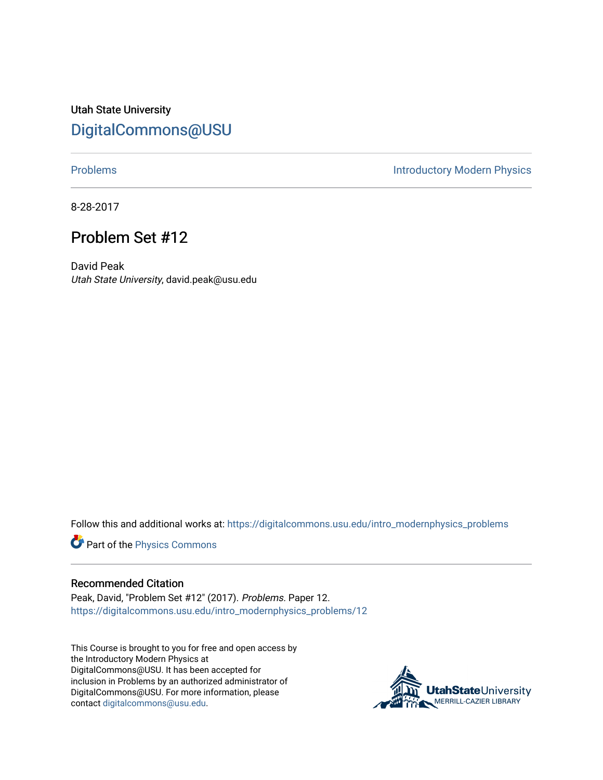Utah State University [DigitalCommons@USU](https://digitalcommons.usu.edu/)

[Problems](https://digitalcommons.usu.edu/intro_modernphysics_problems) **Introductory Modern Physics** 

8-28-2017

## Problem Set #12

David Peak Utah State University, david.peak@usu.edu

Follow this and additional works at: [https://digitalcommons.usu.edu/intro\\_modernphysics\\_problems](https://digitalcommons.usu.edu/intro_modernphysics_problems?utm_source=digitalcommons.usu.edu%2Fintro_modernphysics_problems%2F12&utm_medium=PDF&utm_campaign=PDFCoverPages) 

Part of the [Physics Commons](http://network.bepress.com/hgg/discipline/193?utm_source=digitalcommons.usu.edu%2Fintro_modernphysics_problems%2F12&utm_medium=PDF&utm_campaign=PDFCoverPages)

## Recommended Citation

Peak, David, "Problem Set #12" (2017). Problems. Paper 12. [https://digitalcommons.usu.edu/intro\\_modernphysics\\_problems/12](https://digitalcommons.usu.edu/intro_modernphysics_problems/12?utm_source=digitalcommons.usu.edu%2Fintro_modernphysics_problems%2F12&utm_medium=PDF&utm_campaign=PDFCoverPages) 

This Course is brought to you for free and open access by the Introductory Modern Physics at DigitalCommons@USU. It has been accepted for inclusion in Problems by an authorized administrator of DigitalCommons@USU. For more information, please contact [digitalcommons@usu.edu](mailto:digitalcommons@usu.edu).